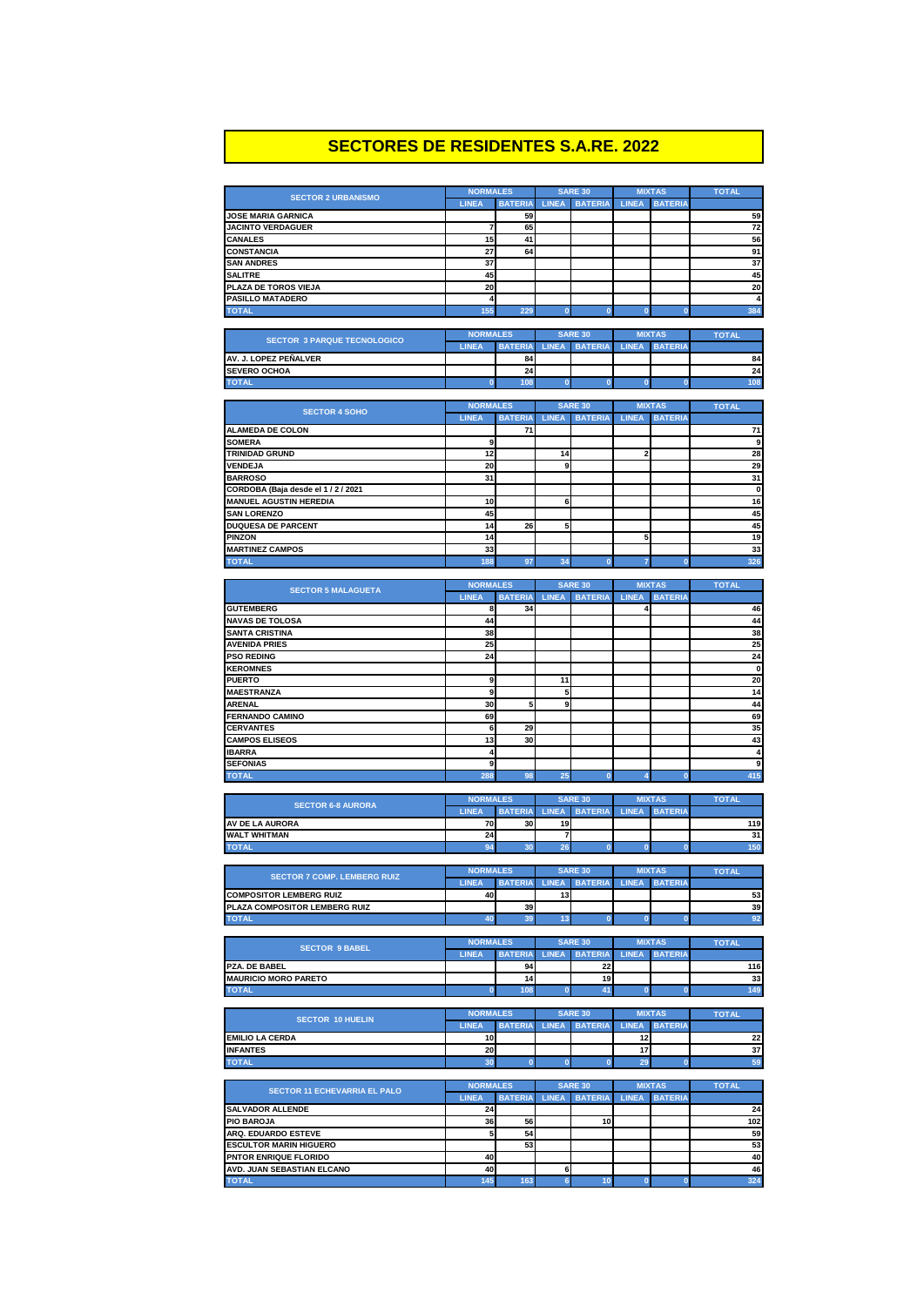## **SECTORES DE RESIDENTES S.A.RE. 2022**

| <b>SECTOR 2 URBANISMO</b>                                        | <b>NORMALES</b>                 |                |                | <b>SARE 30</b>                      |                         | <b>MIXTAS</b>  | <b>TOTAL</b>      |
|------------------------------------------------------------------|---------------------------------|----------------|----------------|-------------------------------------|-------------------------|----------------|-------------------|
|                                                                  | <b>LINEA</b>                    | <b>BATERIA</b> | <b>LINEA</b>   | <b>BATERIA</b>                      | <b>LINEA</b>            | <b>BATERIA</b> |                   |
| <b>JOSE MARIA GARNICA</b>                                        |                                 | 59             |                |                                     |                         |                | 59                |
| <b>JACINTO VERDAGUER</b><br><b>CANALES</b>                       | 7<br>15                         | 65<br>41       |                |                                     |                         |                | 72<br>56          |
| <b>CONSTANCIA</b>                                                | 27                              | 64             |                |                                     |                         |                | 91                |
| <b>SAN ANDRES</b>                                                | 37                              |                |                |                                     |                         |                | 37                |
| <b>SALITRE</b>                                                   | 45                              |                |                |                                     |                         |                | 45                |
| PLAZA DE TOROS VIEJA                                             | 20                              |                |                |                                     |                         |                | 20                |
| <b>PASILLO MATADERO</b>                                          | 4                               |                |                |                                     |                         |                | 4                 |
| <b>TOTAL</b>                                                     | 155                             | 229            | $\bf{0}$       | $\bf{0}$                            | $\bf{0}$                | $\bf{0}$       | 384               |
|                                                                  |                                 |                |                |                                     |                         |                |                   |
| <b>SECTOR 3 PARQUE TECNOLOGICO</b>                               | <b>NORMALES</b>                 |                |                | <b>SARE 30</b>                      |                         | <b>MIXTAS</b>  | <b>TOTAL</b>      |
|                                                                  | <b>LINEA</b>                    | <b>BATERIA</b> | <b>LINEA</b>   | <b>BATERIA</b>                      | <b>LINEA</b>            | <b>BATERIA</b> |                   |
| AV. J. LOPEZ PEÑALVER                                            |                                 | 84<br>24       |                |                                     |                         |                | 84<br>24          |
| <b>SEVERO OCHOA</b><br><b>TOTAL</b>                              | $\mathbf{0}$                    | 108            | $\bf{0}$       | $\bf{0}$                            | $\bf{0}$                | $\bf{0}$       | 108               |
|                                                                  |                                 |                |                |                                     |                         |                |                   |
|                                                                  | <b>NORMALES</b>                 |                |                | <b>SARE 30</b>                      |                         | <b>MIXTAS</b>  | <b>TOTAL</b>      |
| <b>SECTOR 4 SOHO</b>                                             | <b>LINEA</b>                    | <b>BATERIA</b> | <b>LINEA</b>   | <b>BATERIA</b>                      | <b>LINEA</b>            | <b>BATERIA</b> |                   |
| ALAMEDA DE COLON                                                 |                                 | 71             |                |                                     |                         |                | 71                |
| <b>SOMERA</b>                                                    | 9                               |                |                |                                     |                         |                | 9                 |
| <b>TRINIDAD GRUND</b>                                            | 12                              |                | 14             |                                     | $\overline{\mathbf{2}}$ |                | 28                |
| <b>VENDEJA</b>                                                   | 20                              |                | 9              |                                     |                         |                | 29                |
| <b>BARROSO</b>                                                   | 31                              |                |                |                                     |                         |                | 31                |
| CORDOBA (Baja desde el 1/2/2021<br><b>MANUEL AGUSTIN HEREDIA</b> |                                 |                | 6              |                                     |                         |                | $\mathbf 0$<br>16 |
| <b>SAN LORENZO</b>                                               | 10<br>45                        |                |                |                                     |                         |                | 45                |
| <b>DUQUESA DE PARCENT</b>                                        | 14                              | 26             | 5              |                                     |                         |                | 45                |
| <b>PINZON</b>                                                    | 14                              |                |                |                                     | 5                       |                | 19                |
| <b>MARTINEZ CAMPOS</b>                                           | 33                              |                |                |                                     |                         |                | 33                |
| <b>TOTAL</b>                                                     | 188                             | 97             | 34             | $\overline{0}$                      | 7                       | $\bf{0}$       | 326               |
|                                                                  |                                 |                |                |                                     |                         |                |                   |
| <b>SECTOR 5 MALAGUETA</b>                                        | <b>NORMALES</b>                 |                |                | <b>SARE 30</b>                      |                         | <b>MIXTAS</b>  | <b>TOTAL</b>      |
|                                                                  | <b>LINEA</b>                    | <b>BATERIA</b> | <b>LINEA</b>   | <b>BATERIA</b>                      | <b>LINEA</b>            | <b>BATERIA</b> |                   |
| <b>GUTEMBERG</b>                                                 | 8                               | 34             |                |                                     | 4                       |                | 46                |
| <b>NAVAS DE TOLOSA</b>                                           | 44                              |                |                |                                     |                         |                | 44                |
| <b>SANTA CRISTINA</b>                                            | 38                              |                |                |                                     |                         |                | 38                |
| <b>AVENIDA PRIES</b>                                             | 25                              |                |                |                                     |                         |                | 25                |
| <b>PSO REDING</b><br><b>KEROMNES</b>                             | 24                              |                |                |                                     |                         |                | 24<br>$\mathbf 0$ |
| <b>PUERTO</b>                                                    | 9                               |                | 11             |                                     |                         |                | 20                |
| <b>MAESTRANZA</b>                                                | 9                               |                | 5              |                                     |                         |                | 14                |
| <b>ARENAL</b>                                                    | 30                              | 5              | 9              |                                     |                         |                | 44                |
| FERNANDO CAMINO                                                  | 69                              |                |                |                                     |                         |                | 69                |
| <b>CERVANTES</b>                                                 | 6                               | 29             |                |                                     |                         |                | 35                |
| <b>CAMPOS ELISEOS</b>                                            | 13                              | 30             |                |                                     |                         |                | 43                |
| <b>IBARRA</b>                                                    | 4                               |                |                |                                     |                         |                | 4                 |
| <b>SEFONIAS</b>                                                  | 9                               |                |                |                                     |                         |                | 9                 |
| <b>TOTAL</b>                                                     | 288                             | 98             | 25             | $\overline{0}$                      |                         | n              | 415               |
|                                                                  |                                 |                |                | <b>SARE 30</b>                      |                         | <b>MIXTAS</b>  |                   |
| <b>SECTOR 6-8 AURORA</b>                                         | <b>NORMALES</b><br><b>LINEA</b> | <b>BATERIA</b> | <b>LINEA</b>   | <b>BATERIA</b>                      | <b>LINEA</b>            | <b>BATERIA</b> | <b>TOTAL</b>      |
| AV DE LA AURORA                                                  | 70                              | 30             | 19             |                                     |                         |                | 119               |
| <b>WALT WHITMAN</b>                                              | 24                              |                | $\overline{7}$ |                                     |                         |                | 31                |
| <b>TOTAL</b>                                                     | 94                              | 30             | 26             | $\bf{0}$                            | $\bf{0}$                | $\bf{0}$       | 150               |
|                                                                  |                                 |                |                |                                     |                         |                |                   |
| <b>SECTOR 7 COMP. LEMBERG RUIZ</b>                               | <b>NORMALES</b>                 |                |                | <b>SARE 30</b>                      |                         | <b>MIXTAS</b>  | <b>TOTAL</b>      |
|                                                                  | <b>I INFA</b>                   |                |                | BATERIA LINEA BATERIA LINEA BATERIA |                         |                |                   |
| <b>COMPOSITOR LEMBERG RUIZ</b>                                   | 40                              |                | 13             |                                     |                         |                | 53                |
| PLAZA COMPOSITOR LEMBERG RUIZ                                    |                                 | 39             |                |                                     |                         |                | 39                |
| <b>TOTAL</b>                                                     | 40                              | 39             | 13             | $\mathbf 0$                         | $\bf{0}$                | $\bullet$      | 92                |
|                                                                  | <b>NORMALES</b>                 |                |                | <b>SARE 30</b>                      |                         | <b>MIXTAS</b>  |                   |
| <b>SECTOR 9 BABEL</b>                                            | <b>LINEA</b>                    | <b>BATERIA</b> | <b>LINEA</b>   | <b>BATERIA</b>                      | <b>LINEA</b>            | <b>BATERIA</b> | <b>TOTAL</b>      |
| PZA. DE BABEL                                                    |                                 | 94             |                | 22                                  |                         |                | 116               |
| <b>MAURICIO MORO PARETO</b>                                      |                                 | 14             |                | 19                                  |                         |                | 33                |
| <b>TOTAL</b>                                                     | $\bf{0}$                        | 108            | $\pmb{0}$      | 41                                  | $\pmb{0}$               | $\bf{0}$       | 149               |
|                                                                  |                                 |                |                |                                     |                         |                |                   |
| <b>SECTOR 10 HUELIN</b>                                          | <b>NORMALES</b>                 |                |                | <b>SARE 30</b>                      |                         | <b>MIXTAS</b>  | <b>TOTAL</b>      |
|                                                                  | <b>LINEA</b>                    | <b>BATERIA</b> | <b>LINEA</b>   | <b>BATERIA</b>                      | <b>LINEA</b>            | <b>BATERIA</b> |                   |
| <b>EMILIO LA CERDA</b>                                           | 10                              |                |                |                                     | 12                      |                | 22                |
| <b>INFANTES</b>                                                  | 20                              |                |                |                                     | 17                      |                | 37                |
| <b>TOTAL</b>                                                     | 30                              | $\pmb{0}$      | $\pmb{0}$      | $\bf{0}$                            | 29                      | $\bf{0}$       | 59                |
|                                                                  | <b>NORMALES</b>                 |                |                | <b>SARE 30</b>                      |                         | <b>MIXTAS</b>  | <b>TOTAL</b>      |
| <b>SECTOR 11 ECHEVARRIA EL PALO</b>                              | <b>LINEA</b>                    | <b>BATERIA</b> | <b>LINEA</b>   | <b>BATERIA</b>                      |                         | LINEA BATERIA  |                   |
| <b>SALVADOR ALLENDE</b>                                          | 24                              |                |                |                                     |                         |                | 24                |
| <b>PIO BAROJA</b>                                                |                                 |                |                | 10                                  |                         |                | 102               |
|                                                                  |                                 |                |                |                                     |                         |                |                   |
| ARQ. EDUARDO ESTEVE                                              | 36<br>5                         | 56<br>54       |                |                                     |                         |                | 59                |
| <b>ESCULTOR MARIN HIGUERO</b>                                    |                                 | 53             |                |                                     |                         |                | 53                |
| PNTOR ENRIQUE FLORIDO                                            | 40                              |                |                |                                     |                         |                | 40                |
| AVD. JUAN SEBASTIAN ELCANO                                       | 40                              |                | 6              |                                     |                         |                | 46                |
| <b>TOTAL</b>                                                     | 145                             | 163            | 6              | 10                                  | $\pmb{0}$               | $\bf{0}$       | 324               |